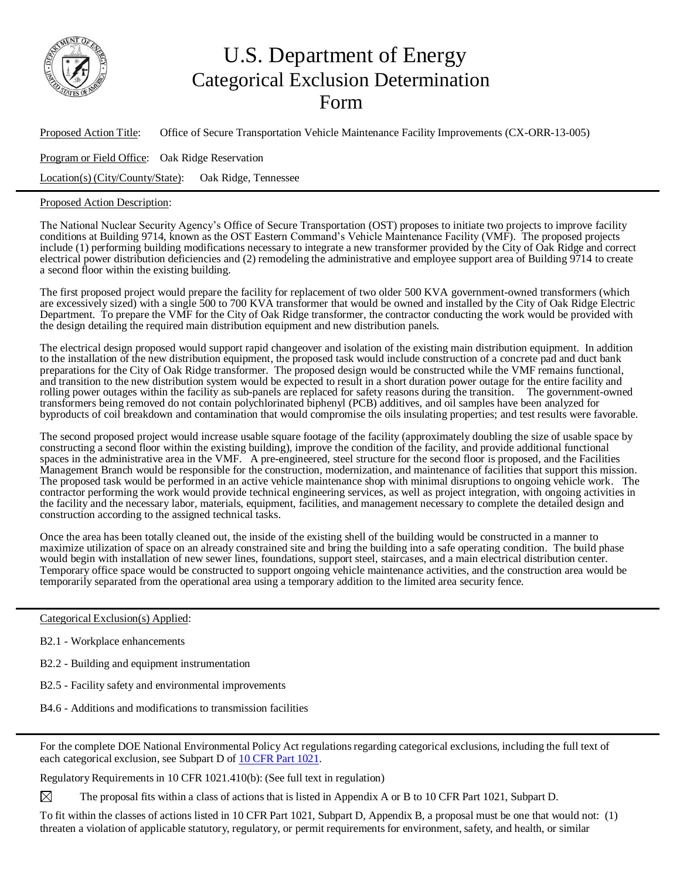

## U.S. Department of Energy Categorical Exclusion Determination Form

Proposed Action Title: Office of Secure Transportation Vehicle Maintenance Facility Improvements (CX-ORR-13-005) Program or Field Office: Oak Ridge Reservation Location(s) (City/County/State): Oak Ridge, Tennessee

## Proposed Action Description:

The National Nuclear Security Agency's Office of Secure Transportation (OST) proposes to initiate two projects to improve facility conditions at Building 9714, known as the OST Eastern Command's Vehicle Maintenance Facility (VMF). The proposed projects include (1) performing building modifications necessary to integrate a new transformer provided by the City of Oak Ridge and correct electrical power distribution deficiencies and (2) remodeling the administrative and employee support area of Building 9714 to create a second floor within the existing building.

The first proposed project would prepare the facility for replacement of two older 500 KVA government-owned transformers (which are excessively sized) with a single 500 to 700 KVA transformer that would be owned and installed by the City of Oak Ridge Electric Department. To prepare the VMF for the City of Oak Ridge transformer, the contractor conducting the work would be provided with the design detailing the required main distribution equipment and new distribution panels.

The electrical design proposed would support rapid changeover and isolation of the existing main distribution equipment. In addition to the installation of the new distribution equipment, the proposed task would include construction of a concrete pad and duct bank preparations for the City of Oak Ridge transformer. The proposed design would be constructed while the VMF remains functional, and transition to the new distribution system would be expected to result in a short duration power outage for the entire facility and rolling power outages within the facility as sub-panels are replaced for safety reasons during the transition. The government-owned transformers being removed do not contain polychlorinated biphenyl (PCB) additives, and oil samples have been analyzed for byproducts of coil breakdown and contamination that would compromise the oils insulating properties; and test results were favorable.

The second proposed project would increase usable square footage of the facility (approximately doubling the size of usable space by constructing a second floor within the existing building), improve the condition of the facility, and provide additional functional spaces in the administrative area in the VMF. A pre-engineered, steel structure for the second floor is proposed, and the Facilities Management Branch would be responsible for the construction, modernization, and maintenance of facilities that support this mission. The proposed task would be performed in an active vehicle maintenance shop with minimal disruptions to ongoing vehicle work. The contractor performing the work would provide technical engineering services, as well as project integration, with ongoing activities in the facility and the necessary labor, materials, equipment, facilities, and management necessary to complete the detailed design and construction according to the assigned technical tasks.

Once the area has been totally cleaned out, the inside of the existing shell of the building would be constructed in a manner to maximize utilization of space on an already constrained site and bring the building into a safe operating condition. The build phase would begin with installation of new sewer lines, foundations, support steel, staircases, and a main electrical distribution center. Temporary office space would be constructed to support ongoing vehicle maintenance activities, and the construction area would be temporarily separated from the operational area using a temporary addition to the limited area security fence.

Categorical Exclusion(s) Applied:

- B2.1 Workplace enhancements
- B2.2 Building and equipment instrumentation
- B2.5 Facility safety and environmental improvements
- B4.6 Additions and modifications to transmission facilities

For the complete DOE National Environmental Policy Act regulations regarding categorical exclusions, including the full text of each categorical exclusion, see Subpart D of 10 CFR Part [1021.](http://energy.gov/nepa/downloads/10-cfr-1021-department-energy-national-environmental-policy-act-implementing)

Regulatory Requirements in 10 CFR 1021.410(b): (See full text in regulation)

 $\boxtimes$ The proposal fits within a class of actions that is listed in Appendix A or B to 10 CFR Part 1021, Subpart D.

To fit within the classes of actions listed in 10 CFR Part 1021, Subpart D, Appendix B, a proposal must be one that would not: (1) threaten a violation of applicable statutory, regulatory, or permit requirements for environment, safety, and health, or similar